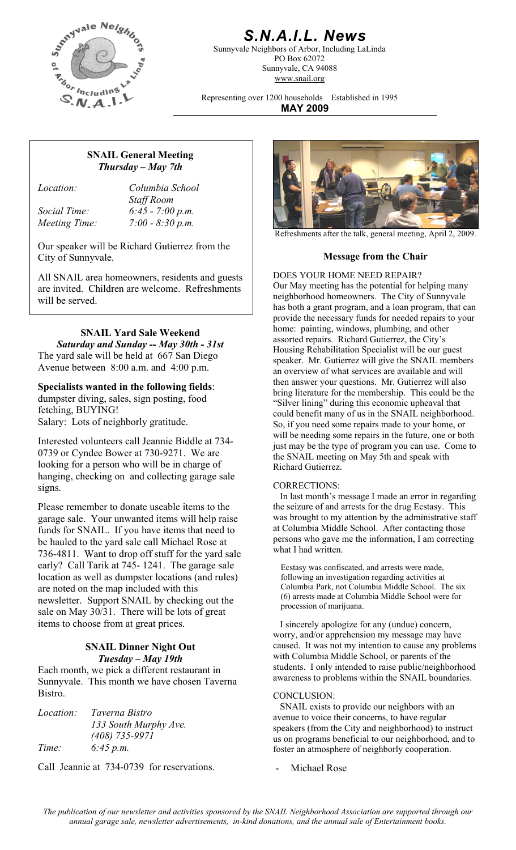

# *S.N.A.I.L. News*

Sunnyvale Neighbors of Arbor, Including LaLinda PO Box 62072 Sunnyvale, CA 94088 www.snail.org

Representing over 1200 households Established in 1995 **MAY 2009**

## **SNAIL General Meeting**  *Thursday – May 7th*

*Location: Columbia School Staff Room Social Time: 6:45 - 7:00 p.m. Meeting Time: 7:00 - 8:30 p.m.* 

Our speaker will be Richard Gutierrez from the City of Sunnyvale. **Message from the Chair** 

All SNAIL area homeowners, residents and guests <br>DOES YOUR HOME NEED REPAIR? are invited. Children are welcome. Refreshments will be served.

# **SNAIL Yard Sale Weekend**

*Saturday and Sunday -- May 30th - 31st*  The yard sale will be held at 667 San Diego Avenue between 8:00 a.m. and 4:00 p.m.

**Specialists wanted in the following fields**:

dumpster diving, sales, sign posting, food fetching, BUYING! Salary: Lots of neighborly gratitude.

Interested volunteers call Jeannie Biddle at 734- 0739 or Cyndee Bower at 730-9271. We are looking for a person who will be in charge of hanging, checking on and collecting garage sale signs. CORRECTIONS:

Please remember to donate useable items to the garage sale. Your unwanted items will help raise funds for SNAIL. If you have items that need to be hauled to the yard sale call Michael Rose at 736-4811. Want to drop off stuff for the yard sale early? Call Tarik at 745- 1241. The garage sale location as well as dumpster locations (and rules) are noted on the map included with this newsletter. Support SNAIL by checking out the sale on May 30/31. There will be lots of great items to choose from at great prices.

### **SNAIL Dinner Night Out**  *Tuesday – May 19th*

Each month, we pick a different restaurant in Sunnyvale. This month we have chosen Taverna Bistro. CONCLUSION:

| <i>Location:</i> | Taverna Bistro        |
|------------------|-----------------------|
|                  | 133 South Murphy Ave. |
|                  | $(408)$ 735-9971      |
| Time:            | 6:45 p.m.             |

Call Jeannie at 734-0739 for reservations. - Michael Rose



Refreshments after the talk, general meeting, April 2, 2009.

Our May meeting has the potential for helping many neighborhood homeowners. The City of Sunnyvale has both a grant program, and a loan program, that can provide the necessary funds for needed repairs to your home: painting, windows, plumbing, and other assorted repairs. Richard Gutierrez, the City's Housing Rehabilitation Specialist will be our guest speaker. Mr. Gutierrez will give the SNAIL members an overview of what services are available and will then answer your questions. Mr. Gutierrez will also bring literature for the membership. This could be the "Silver lining" during this economic upheaval that could benefit many of us in the SNAIL neighborhood. So, if you need some repairs made to your home, or will be needing some repairs in the future, one or both just may be the type of program you can use. Come to the SNAIL meeting on May 5th and speak with Richard Gutierrez.

 In last month's message I made an error in regarding the seizure of and arrests for the drug Ecstasy. This was brought to my attention by the administrative staff at Columbia Middle School. After contacting those persons who gave me the information, I am correcting what I had written.

Ecstasy was confiscated, and arrests were made, following an investigation regarding activities at Columbia Park, not Columbia Middle School. The six (6) arrests made at Columbia Middle School were for procession of marijuana.

 I sincerely apologize for any (undue) concern, worry, and/or apprehension my message may have caused. It was not my intention to cause any problems with Columbia Middle School, or parents of the students. I only intended to raise public/neighborhood awareness to problems within the SNAIL boundaries.

 SNAIL exists to provide our neighbors with an avenue to voice their concerns, to have regular speakers (from the City and neighborhood) to instruct us on programs beneficial to our neighborhood, and to foster an atmosphere of neighborly cooperation.